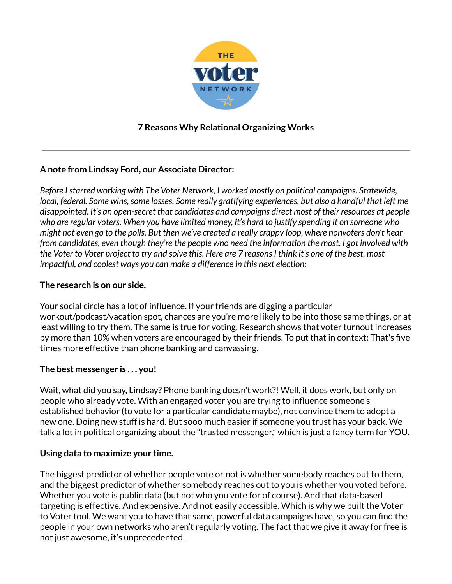

# **7 Reasons Why Relational Organizing Works**

# **A note from Lindsay Ford, our Associate Director:**

*Before Istarted working with The Voter Network, I worked mostly on political campaigns. Statewide, local, federal. Some wins,some losses. Some really gratifying experiences, but also a handful that left me disappointed. It's an open-secret that candidates and campaigns direct most of their resources at people* who are regular voters. When you have limited money, it's hard to justify spending it on someone who might not even go to the polls. But then we've created a really crappy loop, where nonvoters don't hear *from candidates, even though they're the people who need the information the most. I got involved with* the Voter to Voter project to try and solve this. Here are 7 reasons I think it's one of the best, most *impactful, and coolest ways you can make a difference in this next election:*

# **The research is on our side.**

Your social circle has a lot of influence. If your friends are digging a particular workout/podcast/vacation spot, chances are you're more likely to be into those same things, or at least willing to try them. The same is true for voting. Research shows that voter turnout increases by more than 10% when voters are encouraged by their friends. To put that in context: That's five times more effective than phone banking and canvassing.

# **The best messenger is . . . you!**

Wait, what did you say, Lindsay? Phone banking doesn't work?! Well, it does work, but only on people who already vote. With an engaged voter you are trying to influence someone's established behavior (to vote for a particular candidate maybe), not convince them to adopt a new one. Doing new stuff is hard. But sooo much easier if someone you trust has your back. We talk a lot in political organizing about the "trusted messenger," which is just a fancy term for YOU.

# **Using data to maximize your time.**

The biggest predictor of whether people vote or not is whether somebody reaches out to them, and the biggest predictor of whether somebody reaches out to you is whether you voted before. Whether you vote is public data (but not who you vote for of course). And that data-based targeting is effective. And expensive. And not easily accessible. Which is why we built the Voter to Voter tool. We want you to have that same, powerful data campaigns have, so you can find the people in your own networks who aren't regularly voting. The fact that we give it away for free is not just awesome, it's unprecedented.